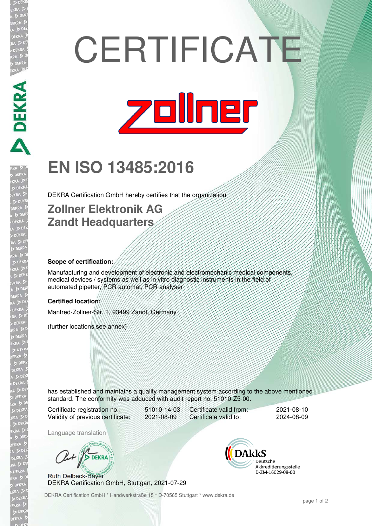# **CERTIFICATE**



# **EN ISO 13485:2016**

DEKRA Certification GmbH hereby certifies that the organization

### **Zollner Elektronik AG Zandt Headquarters**

#### **Scope of certification:**

**DEKRA PARA** 

Manufacturing and development of electronic and electromechanic medical components, medical devices / systems as well as in vitro diagnostic instruments in the field of automated pipetter, PCR automat, PCR analyser

#### **Certified location:**

Manfred-Zollner-Str. 1, 93499 Zandt, Germany

(further locations see annex)

has established and maintains a quality management system according to the above mentioned standard. The conformity was adduced with audit report no. 51010-Z5-00.

Certificate registration no.: 51010-14-03 Validity of previous certificate: 2021-08-09

Certificate valid from: 2021-08-10 Certificate valid to: 2024-08-09

Language translation

Out / DEKRA

Ruth Delbeck-Bayer DEKRA Certification GmbH, Stuttgart, 2021-07-29



DEKRA Certification GmbH \* Handwerkstraße 15 \* D-70565 Stuttgart \* www.dekra.de